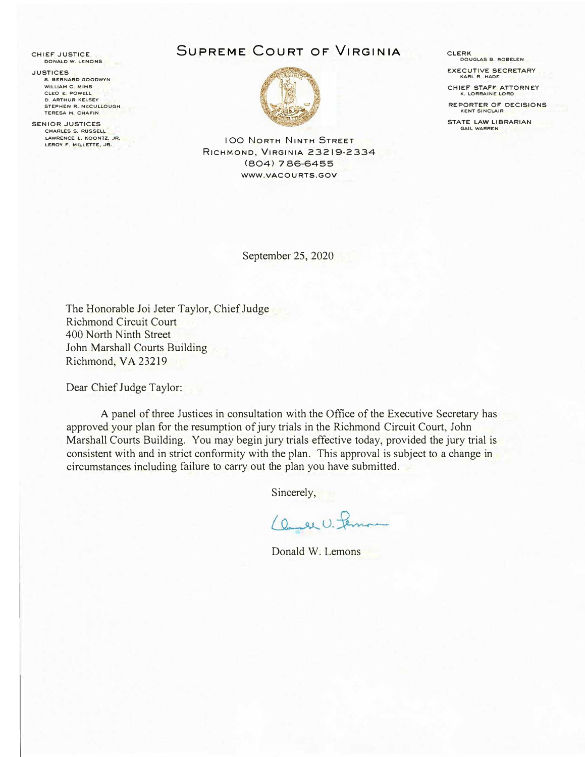**CHIEF JUSTICE OONALO W. LEMONS** 

**.JUSTICES S, BERNARD GOOOWYN WILLIAM C. MIMS CLEO E. POWELL 0. ARTHUR KELSEY STEPHEN R, MCCULLOUGH TERESA M. CHAFIN** 

**SENIOR .JUSTICES CHARLES S. RUSSELL LAWRENCE L. KOONTZ, JR.** LEROY F. MILLETTE, JR.

# **SUPREME COURT OF VIRGINIA**



**IOO NORTH NINTH STREET RICHMOND, VIRGINIA 23219-2334 (804) 7 86-6455 WWW.VACOURTS.GOV** 

September 25, 2020

The Honorable Joi Jeter Taylor, Chief Judge Richmond Circuit Court 400 North Ninth Street John Marshall Courts Building Richmond, VA 23219

Dear Chief Judge Taylor:

A panel of three Justices in consultation with the Office of the Executive Secretary has approved your plan for the resumption of jury trials in the Richmond Circuit Court, John Marshall Courts Building. You may begin jury trials effective today, provided the jury trial is consistent with and in strict conformity with the plan. This approval is subject to a change in circumstances including failure to carry out the plan you have submitted.

Sincerely,

 $(0, \omega U)^{-}$ 

Donald W. Lemons

**CLERK DOUGLAS B. R08ELEN EXECUTIVE SECRETARY** 

**KARL R. HAOE** 

**CHIEF STAFF ATTORNEY**<br>K. LORRAINE LORD

**REPORTER Of" DECISIONS KENT SINCLAIR** 

**STATE LAW LIBRARIAN GAIL WARREN**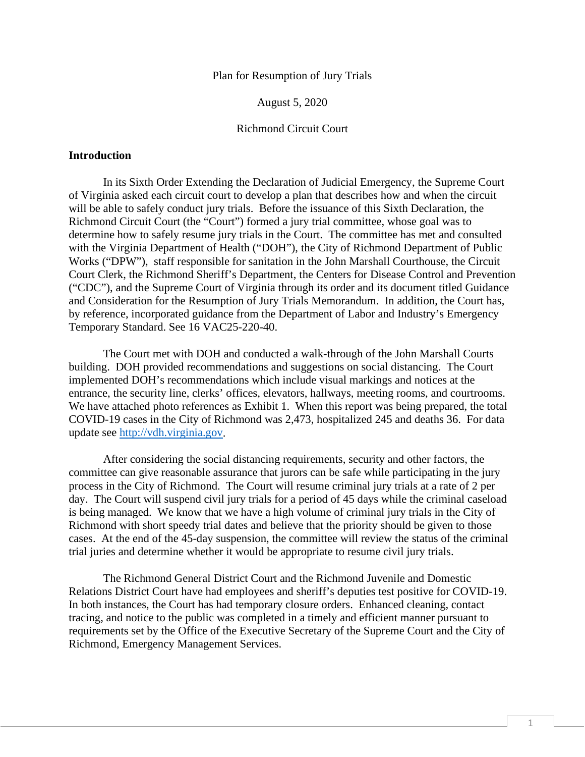Plan for Resumption of Jury Trials

August 5, 2020

#### Richmond Circuit Court

#### **Introduction**

In its Sixth Order Extending the Declaration of Judicial Emergency, the Supreme Court of Virginia asked each circuit court to develop a plan that describes how and when the circuit will be able to safely conduct jury trials. Before the issuance of this Sixth Declaration, the Richmond Circuit Court (the "Court") formed a jury trial committee, whose goal was to determine how to safely resume jury trials in the Court. The committee has met and consulted with the Virginia Department of Health ("DOH"), the City of Richmond Department of Public Works ("DPW"), staff responsible for sanitation in the John Marshall Courthouse, the Circuit Court Clerk, the Richmond Sheriff's Department, the Centers for Disease Control and Prevention ("CDC"), and the Supreme Court of Virginia through its order and its document titled Guidance and Consideration for the Resumption of Jury Trials Memorandum. In addition, the Court has, by reference, incorporated guidance from the Department of Labor and Industry's Emergency Temporary Standard. See 16 VAC25-220-40.

The Court met with DOH and conducted a walk-through of the John Marshall Courts building. DOH provided recommendations and suggestions on social distancing. The Court implemented DOH's recommendations which include visual markings and notices at the entrance, the security line, clerks' offices, elevators, hallways, meeting rooms, and courtrooms. We have attached photo references as Exhibit 1. When this report was being prepared, the total COVID-19 cases in the City of Richmond was 2,473, hospitalized 245 and deaths 36. For data update see [http://vdh.virginia.gov.](http://vdh.virginia.gov/)

After considering the social distancing requirements, security and other factors, the committee can give reasonable assurance that jurors can be safe while participating in the jury process in the City of Richmond. The Court will resume criminal jury trials at a rate of 2 per day. The Court will suspend civil jury trials for a period of 45 days while the criminal caseload is being managed. We know that we have a high volume of criminal jury trials in the City of Richmond with short speedy trial dates and believe that the priority should be given to those cases. At the end of the 45-day suspension, the committee will review the status of the criminal trial juries and determine whether it would be appropriate to resume civil jury trials.

The Richmond General District Court and the Richmond Juvenile and Domestic Relations District Court have had employees and sheriff's deputies test positive for COVID-19. In both instances, the Court has had temporary closure orders. Enhanced cleaning, contact tracing, and notice to the public was completed in a timely and efficient manner pursuant to requirements set by the Office of the Executive Secretary of the Supreme Court and the City of Richmond, Emergency Management Services.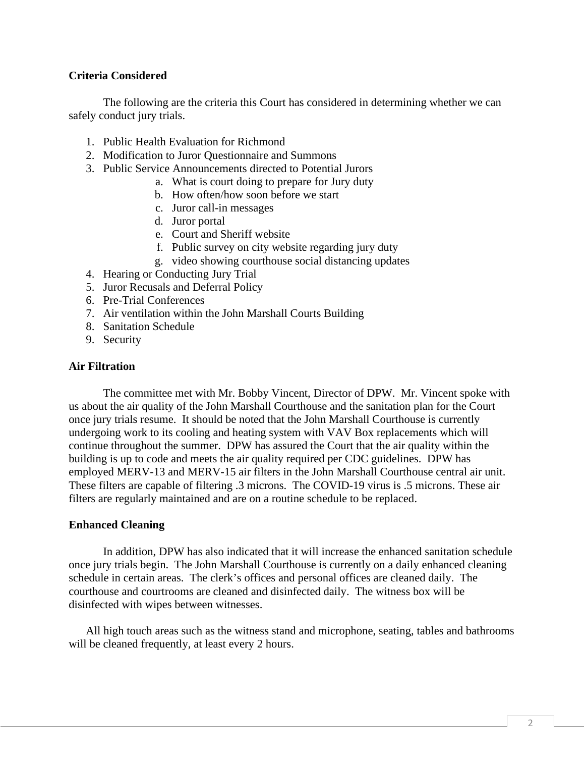# **Criteria Considered**

The following are the criteria this Court has considered in determining whether we can safely conduct jury trials.

- 1. Public Health Evaluation for Richmond
- 2. Modification to Juror Questionnaire and Summons
- 3. Public Service Announcements directed to Potential Jurors
	- a. What is court doing to prepare for Jury duty
		- b. How often/how soon before we start
		- c. Juror call-in messages
		- d. Juror portal
		- e. Court and Sheriff website
		- f. Public survey on city website regarding jury duty
		- g. video showing courthouse social distancing updates
- 4. Hearing or Conducting Jury Trial
- 5. Juror Recusals and Deferral Policy
- 6. Pre-Trial Conferences
- 7. Air ventilation within the John Marshall Courts Building
- 8. Sanitation Schedule
- 9. Security

### **Air Filtration**

The committee met with Mr. Bobby Vincent, Director of DPW. Mr. Vincent spoke with us about the air quality of the John Marshall Courthouse and the sanitation plan for the Court once jury trials resume. It should be noted that the John Marshall Courthouse is currently undergoing work to its cooling and heating system with VAV Box replacements which will continue throughout the summer. DPW has assured the Court that the air quality within the building is up to code and meets the air quality required per CDC guidelines. DPW has employed MERV-13 and MERV-15 air filters in the John Marshall Courthouse central air unit. These filters are capable of filtering .3 microns. The COVID-19 virus is .5 microns. These air filters are regularly maintained and are on a routine schedule to be replaced.

### **Enhanced Cleaning**

In addition, DPW has also indicated that it will increase the enhanced sanitation schedule once jury trials begin. The John Marshall Courthouse is currently on a daily enhanced cleaning schedule in certain areas. The clerk's offices and personal offices are cleaned daily. The courthouse and courtrooms are cleaned and disinfected daily. The witness box will be disinfected with wipes between witnesses.

All high touch areas such as the witness stand and microphone, seating, tables and bathrooms will be cleaned frequently, at least every 2 hours.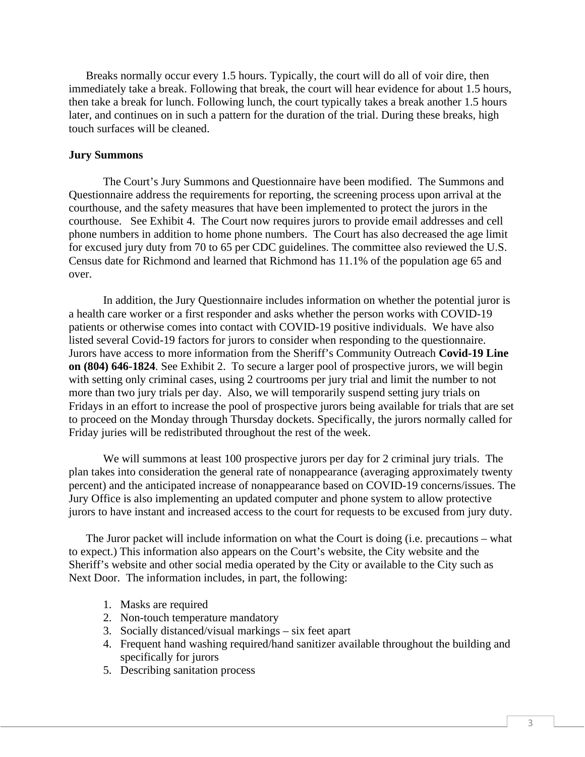Breaks normally occur every 1.5 hours. Typically, the court will do all of voir dire, then immediately take a break. Following that break, the court will hear evidence for about 1.5 hours, then take a break for lunch. Following lunch, the court typically takes a break another 1.5 hours later, and continues on in such a pattern for the duration of the trial. During these breaks, high touch surfaces will be cleaned.

### **Jury Summons**

The Court's Jury Summons and Questionnaire have been modified. The Summons and Questionnaire address the requirements for reporting, the screening process upon arrival at the courthouse, and the safety measures that have been implemented to protect the jurors in the courthouse. See Exhibit 4. The Court now requires jurors to provide email addresses and cell phone numbers in addition to home phone numbers. The Court has also decreased the age limit for excused jury duty from 70 to 65 per CDC guidelines. The committee also reviewed the U.S. Census date for Richmond and learned that Richmond has 11.1% of the population age 65 and over.

In addition, the Jury Questionnaire includes information on whether the potential juror is a health care worker or a first responder and asks whether the person works with COVID-19 patients or otherwise comes into contact with COVID-19 positive individuals. We have also listed several Covid-19 factors for jurors to consider when responding to the questionnaire. Jurors have access to more information from the Sheriff's Community Outreach **Covid-19 Line on (804) 646-1824**. See Exhibit 2. To secure a larger pool of prospective jurors, we will begin with setting only criminal cases, using 2 courtrooms per jury trial and limit the number to not more than two jury trials per day. Also, we will temporarily suspend setting jury trials on Fridays in an effort to increase the pool of prospective jurors being available for trials that are set to proceed on the Monday through Thursday dockets. Specifically, the jurors normally called for Friday juries will be redistributed throughout the rest of the week.

We will summons at least 100 prospective jurors per day for 2 criminal jury trials. The plan takes into consideration the general rate of nonappearance (averaging approximately twenty percent) and the anticipated increase of nonappearance based on COVID-19 concerns/issues. The Jury Office is also implementing an updated computer and phone system to allow protective jurors to have instant and increased access to the court for requests to be excused from jury duty.

The Juror packet will include information on what the Court is doing (i.e. precautions – what to expect.) This information also appears on the Court's website, the City website and the Sheriff's website and other social media operated by the City or available to the City such as Next Door. The information includes, in part, the following:

- 1. Masks are required
- 2. Non-touch temperature mandatory
- 3. Socially distanced/visual markings six feet apart
- 4. Frequent hand washing required/hand sanitizer available throughout the building and specifically for jurors
- 5. Describing sanitation process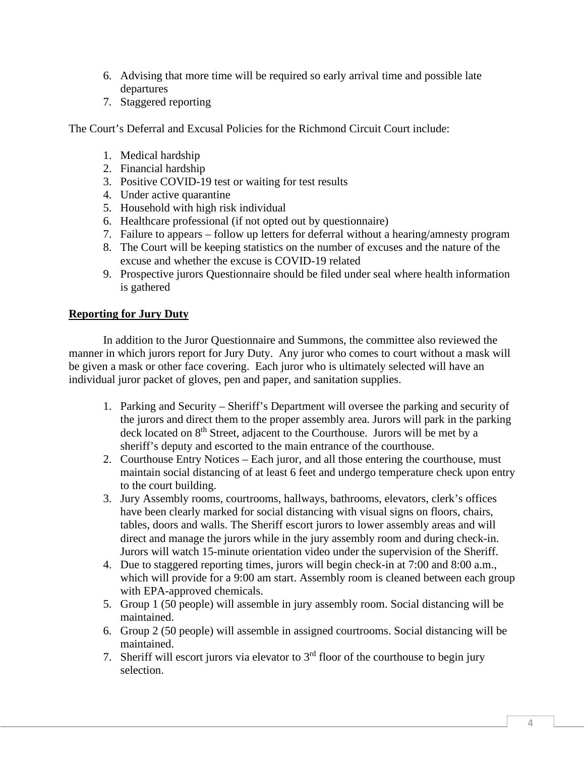- 6. Advising that more time will be required so early arrival time and possible late departures
- 7. Staggered reporting

The Court's Deferral and Excusal Policies for the Richmond Circuit Court include:

- 1. Medical hardship
- 2. Financial hardship
- 3. Positive COVID-19 test or waiting for test results
- 4. Under active quarantine
- 5. Household with high risk individual
- 6. Healthcare professional (if not opted out by questionnaire)
- 7. Failure to appears follow up letters for deferral without a hearing/amnesty program
- 8. The Court will be keeping statistics on the number of excuses and the nature of the excuse and whether the excuse is COVID-19 related
- 9. Prospective jurors Questionnaire should be filed under seal where health information is gathered

# **Reporting for Jury Duty**

In addition to the Juror Questionnaire and Summons, the committee also reviewed the manner in which jurors report for Jury Duty. Any juror who comes to court without a mask will be given a mask or other face covering. Each juror who is ultimately selected will have an individual juror packet of gloves, pen and paper, and sanitation supplies.

- 1. Parking and Security Sheriff's Department will oversee the parking and security of the jurors and direct them to the proper assembly area. Jurors will park in the parking deck located on 8<sup>th</sup> Street, adjacent to the Courthouse. Jurors will be met by a sheriff's deputy and escorted to the main entrance of the courthouse.
- 2. Courthouse Entry Notices Each juror, and all those entering the courthouse, must maintain social distancing of at least 6 feet and undergo temperature check upon entry to the court building.
- 3. Jury Assembly rooms, courtrooms, hallways, bathrooms, elevators, clerk's offices have been clearly marked for social distancing with visual signs on floors, chairs, tables, doors and walls. The Sheriff escort jurors to lower assembly areas and will direct and manage the jurors while in the jury assembly room and during check-in. Jurors will watch 15-minute orientation video under the supervision of the Sheriff.
- 4. Due to staggered reporting times, jurors will begin check-in at 7:00 and 8:00 a.m., which will provide for a 9:00 am start. Assembly room is cleaned between each group with EPA-approved chemicals.
- 5. Group 1 (50 people) will assemble in jury assembly room. Social distancing will be maintained.
- 6. Group 2 (50 people) will assemble in assigned courtrooms. Social distancing will be maintained.
- 7. Sheriff will escort jurors via elevator to  $3<sup>rd</sup>$  floor of the courthouse to begin jury selection.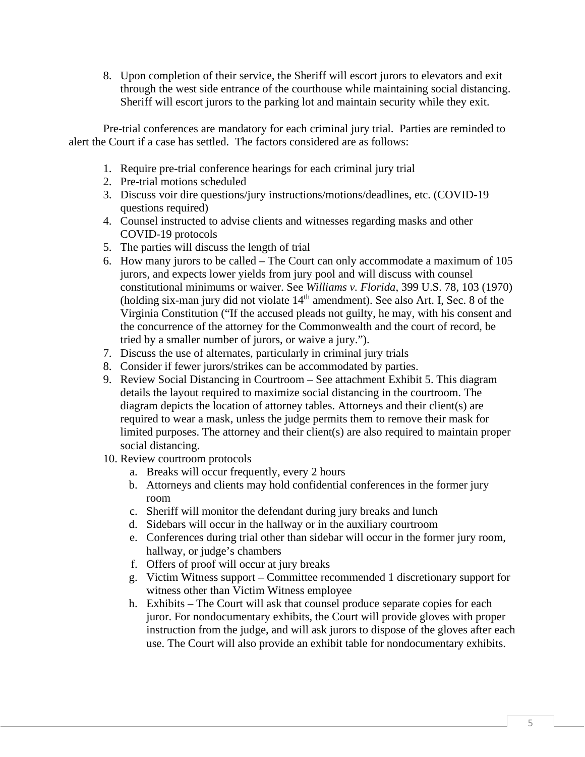8. Upon completion of their service, the Sheriff will escort jurors to elevators and exit through the west side entrance of the courthouse while maintaining social distancing. Sheriff will escort jurors to the parking lot and maintain security while they exit.

Pre-trial conferences are mandatory for each criminal jury trial. Parties are reminded to alert the Court if a case has settled. The factors considered are as follows:

- 1. Require pre-trial conference hearings for each criminal jury trial
- 2. Pre-trial motions scheduled
- 3. Discuss voir dire questions/jury instructions/motions/deadlines, etc. (COVID-19 questions required)
- 4. Counsel instructed to advise clients and witnesses regarding masks and other COVID-19 protocols
- 5. The parties will discuss the length of trial
- 6. How many jurors to be called The Court can only accommodate a maximum of 105 jurors, and expects lower yields from jury pool and will discuss with counsel constitutional minimums or waiver. See *Williams v. Florida*, 399 U.S. 78, 103 (1970) (holding six-man jury did not violate  $14<sup>th</sup>$  amendment). See also Art. I, Sec. 8 of the Virginia Constitution ("If the accused pleads not guilty, he may, with his consent and the concurrence of the attorney for the Commonwealth and the court of record, be tried by a smaller number of jurors, or waive a jury.").
- 7. Discuss the use of alternates, particularly in criminal jury trials
- 8. Consider if fewer jurors/strikes can be accommodated by parties.
- 9. Review Social Distancing in Courtroom See attachment Exhibit 5. This diagram details the layout required to maximize social distancing in the courtroom. The diagram depicts the location of attorney tables. Attorneys and their client(s) are required to wear a mask, unless the judge permits them to remove their mask for limited purposes. The attorney and their client(s) are also required to maintain proper social distancing.
- 10. Review courtroom protocols
	- a. Breaks will occur frequently, every 2 hours
	- b. Attorneys and clients may hold confidential conferences in the former jury room
	- c. Sheriff will monitor the defendant during jury breaks and lunch
	- d. Sidebars will occur in the hallway or in the auxiliary courtroom
	- e. Conferences during trial other than sidebar will occur in the former jury room, hallway, or judge's chambers
	- f. Offers of proof will occur at jury breaks
	- g. Victim Witness support Committee recommended 1 discretionary support for witness other than Victim Witness employee
	- h. Exhibits The Court will ask that counsel produce separate copies for each juror. For nondocumentary exhibits, the Court will provide gloves with proper instruction from the judge, and will ask jurors to dispose of the gloves after each use. The Court will also provide an exhibit table for nondocumentary exhibits.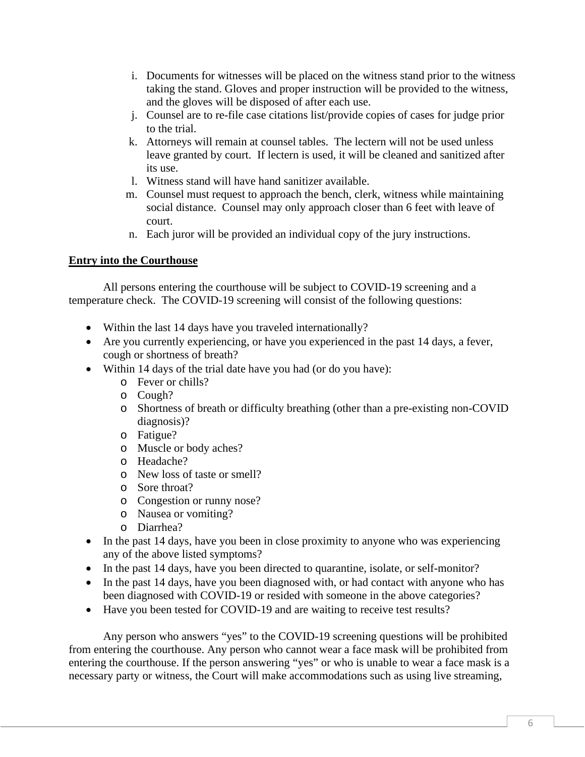- i. Documents for witnesses will be placed on the witness stand prior to the witness taking the stand. Gloves and proper instruction will be provided to the witness, and the gloves will be disposed of after each use.
- j. Counsel are to re-file case citations list/provide copies of cases for judge prior to the trial.
- k. Attorneys will remain at counsel tables. The lectern will not be used unless leave granted by court. If lectern is used, it will be cleaned and sanitized after its use.
- l. Witness stand will have hand sanitizer available.
- m. Counsel must request to approach the bench, clerk, witness while maintaining social distance. Counsel may only approach closer than 6 feet with leave of court.
- n. Each juror will be provided an individual copy of the jury instructions.

# **Entry into the Courthouse**

All persons entering the courthouse will be subject to COVID-19 screening and a temperature check. The COVID-19 screening will consist of the following questions:

- Within the last 14 days have you traveled internationally?
- Are you currently experiencing, or have you experienced in the past 14 days, a fever, cough or shortness of breath?
- Within 14 days of the trial date have you had (or do you have):
	- o Fever or chills?
	- o Cough?
	- o Shortness of breath or difficulty breathing (other than a pre-existing non-COVID diagnosis)?
	- o Fatigue?
	- o Muscle or body aches?
	- o Headache?
	- o New loss of taste or smell?
	- o Sore throat?
	- o Congestion or runny nose?
	- o Nausea or vomiting?
	- o Diarrhea?
- In the past 14 days, have you been in close proximity to anyone who was experiencing any of the above listed symptoms?
- In the past 14 days, have you been directed to quarantine, isolate, or self-monitor?
- In the past 14 days, have you been diagnosed with, or had contact with anyone who has been diagnosed with COVID-19 or resided with someone in the above categories?
- Have you been tested for COVID-19 and are waiting to receive test results?

Any person who answers "yes" to the COVID-19 screening questions will be prohibited from entering the courthouse. Any person who cannot wear a face mask will be prohibited from entering the courthouse. If the person answering "yes" or who is unable to wear a face mask is a necessary party or witness, the Court will make accommodations such as using live streaming,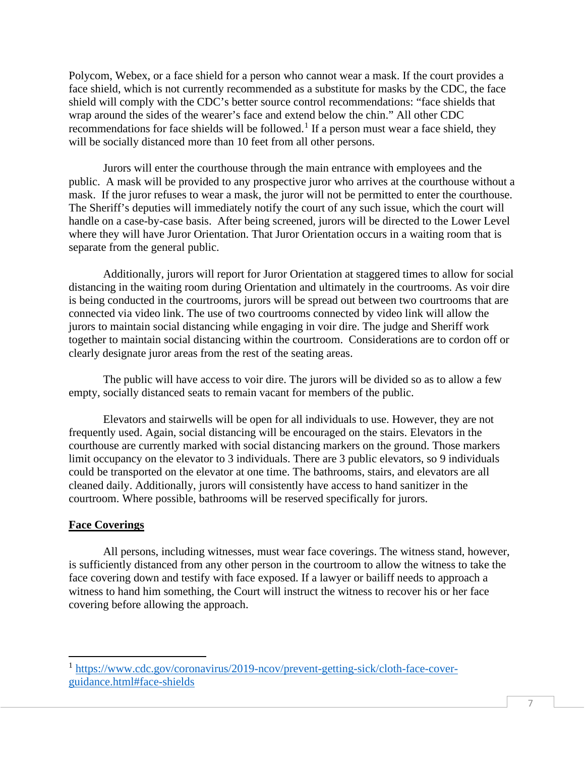Polycom, Webex, or a face shield for a person who cannot wear a mask. If the court provides a face shield, which is not currently recommended as a substitute for masks by the CDC, the face shield will comply with the CDC's better source control recommendations: "face shields that wrap around the sides of the wearer's face and extend below the chin." All other CDC recommendations for face shields will be followed.<sup>[1](#page-7-0)</sup> If a person must wear a face shield, they will be socially distanced more than 10 feet from all other persons.

Jurors will enter the courthouse through the main entrance with employees and the public. A mask will be provided to any prospective juror who arrives at the courthouse without a mask. If the juror refuses to wear a mask, the juror will not be permitted to enter the courthouse. The Sheriff's deputies will immediately notify the court of any such issue, which the court will handle on a case-by-case basis. After being screened, jurors will be directed to the Lower Level where they will have Juror Orientation. That Juror Orientation occurs in a waiting room that is separate from the general public.

Additionally, jurors will report for Juror Orientation at staggered times to allow for social distancing in the waiting room during Orientation and ultimately in the courtrooms. As voir dire is being conducted in the courtrooms, jurors will be spread out between two courtrooms that are connected via video link. The use of two courtrooms connected by video link will allow the jurors to maintain social distancing while engaging in voir dire. The judge and Sheriff work together to maintain social distancing within the courtroom. Considerations are to cordon off or clearly designate juror areas from the rest of the seating areas.

The public will have access to voir dire. The jurors will be divided so as to allow a few empty, socially distanced seats to remain vacant for members of the public.

Elevators and stairwells will be open for all individuals to use. However, they are not frequently used. Again, social distancing will be encouraged on the stairs. Elevators in the courthouse are currently marked with social distancing markers on the ground. Those markers limit occupancy on the elevator to 3 individuals. There are 3 public elevators, so 9 individuals could be transported on the elevator at one time. The bathrooms, stairs, and elevators are all cleaned daily. Additionally, jurors will consistently have access to hand sanitizer in the courtroom. Where possible, bathrooms will be reserved specifically for jurors.

## **Face Coverings**

All persons, including witnesses, must wear face coverings. The witness stand, however, is sufficiently distanced from any other person in the courtroom to allow the witness to take the face covering down and testify with face exposed. If a lawyer or bailiff needs to approach a witness to hand him something, the Court will instruct the witness to recover his or her face covering before allowing the approach.

<span id="page-7-0"></span><sup>&</sup>lt;sup>1</sup> [https://www.cdc.gov/coronavirus/2019-ncov/prevent-getting-sick/cloth-face-cover](https://www.cdc.gov/coronavirus/2019-ncov/prevent-getting-sick/cloth-face-cover-guidance.html#face-shields)[guidance.html#face-shields](https://www.cdc.gov/coronavirus/2019-ncov/prevent-getting-sick/cloth-face-cover-guidance.html#face-shields)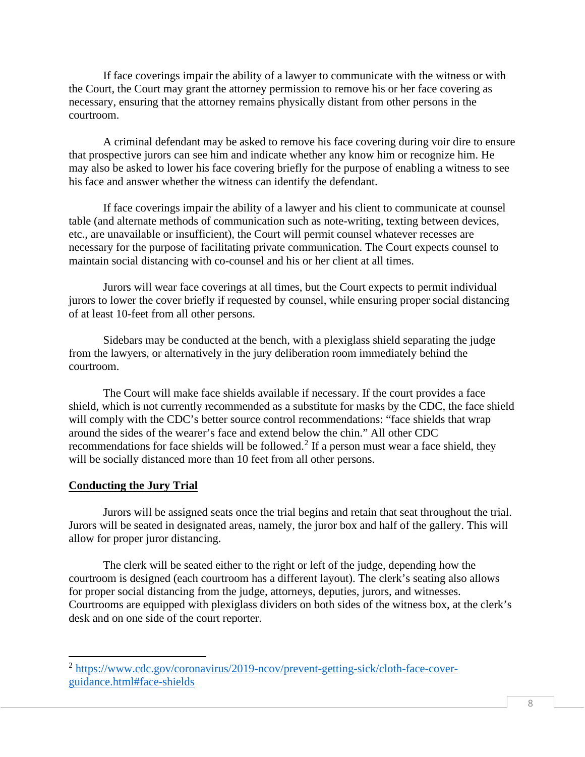If face coverings impair the ability of a lawyer to communicate with the witness or with the Court, the Court may grant the attorney permission to remove his or her face covering as necessary, ensuring that the attorney remains physically distant from other persons in the courtroom.

A criminal defendant may be asked to remove his face covering during voir dire to ensure that prospective jurors can see him and indicate whether any know him or recognize him. He may also be asked to lower his face covering briefly for the purpose of enabling a witness to see his face and answer whether the witness can identify the defendant.

If face coverings impair the ability of a lawyer and his client to communicate at counsel table (and alternate methods of communication such as note-writing, texting between devices, etc., are unavailable or insufficient), the Court will permit counsel whatever recesses are necessary for the purpose of facilitating private communication. The Court expects counsel to maintain social distancing with co-counsel and his or her client at all times.

Jurors will wear face coverings at all times, but the Court expects to permit individual jurors to lower the cover briefly if requested by counsel, while ensuring proper social distancing of at least 10-feet from all other persons.

Sidebars may be conducted at the bench, with a plexiglass shield separating the judge from the lawyers, or alternatively in the jury deliberation room immediately behind the courtroom.

The Court will make face shields available if necessary. If the court provides a face shield, which is not currently recommended as a substitute for masks by the CDC, the face shield will comply with the CDC's better source control recommendations: "face shields that wrap around the sides of the wearer's face and extend below the chin." All other CDC recommendations for face shields will be followed.<sup>[2](#page-8-0)</sup> If a person must wear a face shield, they will be socially distanced more than 10 feet from all other persons.

## **Conducting the Jury Trial**

Jurors will be assigned seats once the trial begins and retain that seat throughout the trial. Jurors will be seated in designated areas, namely, the juror box and half of the gallery. This will allow for proper juror distancing.

The clerk will be seated either to the right or left of the judge, depending how the courtroom is designed (each courtroom has a different layout). The clerk's seating also allows for proper social distancing from the judge, attorneys, deputies, jurors, and witnesses. Courtrooms are equipped with plexiglass dividers on both sides of the witness box, at the clerk's desk and on one side of the court reporter.

<span id="page-8-0"></span><sup>2</sup> [https://www.cdc.gov/coronavirus/2019-ncov/prevent-getting-sick/cloth-face-cover](https://www.cdc.gov/coronavirus/2019-ncov/prevent-getting-sick/cloth-face-cover-guidance.html#face-shields)[guidance.html#face-shields](https://www.cdc.gov/coronavirus/2019-ncov/prevent-getting-sick/cloth-face-cover-guidance.html#face-shields)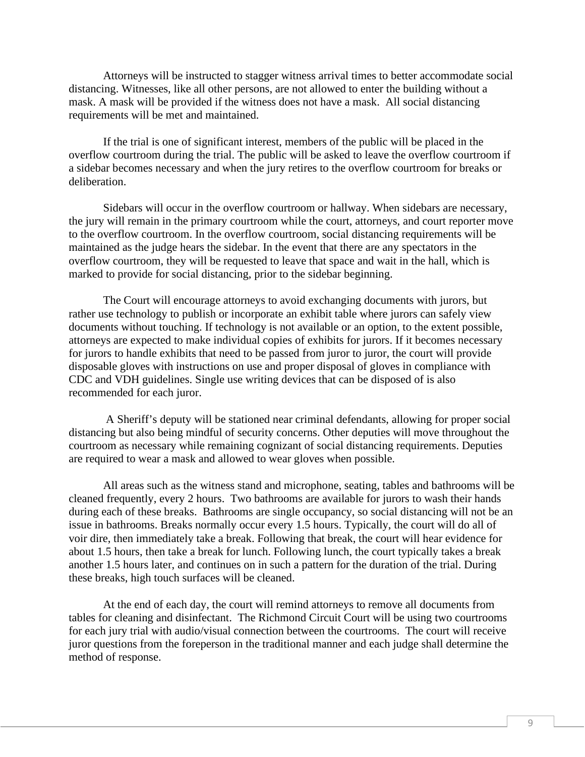Attorneys will be instructed to stagger witness arrival times to better accommodate social distancing. Witnesses, like all other persons, are not allowed to enter the building without a mask. A mask will be provided if the witness does not have a mask. All social distancing requirements will be met and maintained.

If the trial is one of significant interest, members of the public will be placed in the overflow courtroom during the trial. The public will be asked to leave the overflow courtroom if a sidebar becomes necessary and when the jury retires to the overflow courtroom for breaks or deliberation.

Sidebars will occur in the overflow courtroom or hallway. When sidebars are necessary, the jury will remain in the primary courtroom while the court, attorneys, and court reporter move to the overflow courtroom. In the overflow courtroom, social distancing requirements will be maintained as the judge hears the sidebar. In the event that there are any spectators in the overflow courtroom, they will be requested to leave that space and wait in the hall, which is marked to provide for social distancing, prior to the sidebar beginning.

The Court will encourage attorneys to avoid exchanging documents with jurors, but rather use technology to publish or incorporate an exhibit table where jurors can safely view documents without touching. If technology is not available or an option, to the extent possible, attorneys are expected to make individual copies of exhibits for jurors. If it becomes necessary for jurors to handle exhibits that need to be passed from juror to juror, the court will provide disposable gloves with instructions on use and proper disposal of gloves in compliance with CDC and VDH guidelines. Single use writing devices that can be disposed of is also recommended for each juror.

A Sheriff's deputy will be stationed near criminal defendants, allowing for proper social distancing but also being mindful of security concerns. Other deputies will move throughout the courtroom as necessary while remaining cognizant of social distancing requirements. Deputies are required to wear a mask and allowed to wear gloves when possible.

All areas such as the witness stand and microphone, seating, tables and bathrooms will be cleaned frequently, every 2 hours. Two bathrooms are available for jurors to wash their hands during each of these breaks. Bathrooms are single occupancy, so social distancing will not be an issue in bathrooms. Breaks normally occur every 1.5 hours. Typically, the court will do all of voir dire, then immediately take a break. Following that break, the court will hear evidence for about 1.5 hours, then take a break for lunch. Following lunch, the court typically takes a break another 1.5 hours later, and continues on in such a pattern for the duration of the trial. During these breaks, high touch surfaces will be cleaned.

At the end of each day, the court will remind attorneys to remove all documents from tables for cleaning and disinfectant. The Richmond Circuit Court will be using two courtrooms for each jury trial with audio/visual connection between the courtrooms. The court will receive juror questions from the foreperson in the traditional manner and each judge shall determine the method of response.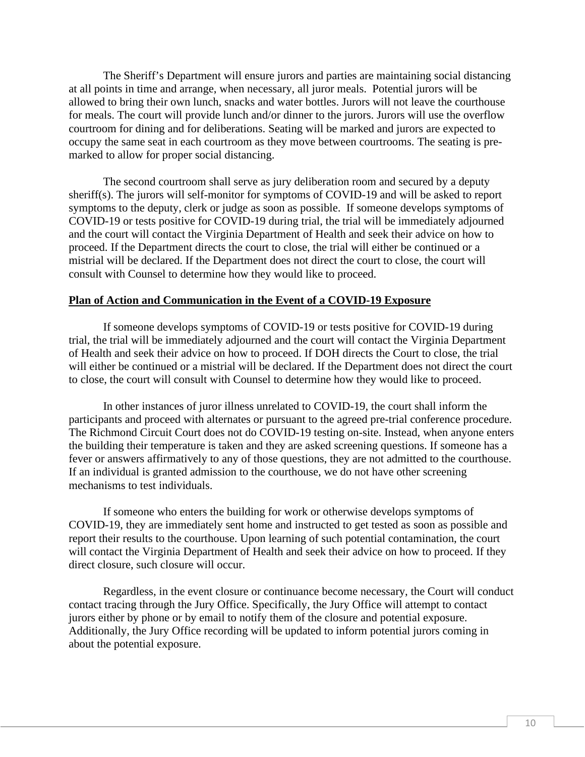The Sheriff's Department will ensure jurors and parties are maintaining social distancing at all points in time and arrange, when necessary, all juror meals. Potential jurors will be allowed to bring their own lunch, snacks and water bottles. Jurors will not leave the courthouse for meals. The court will provide lunch and/or dinner to the jurors. Jurors will use the overflow courtroom for dining and for deliberations. Seating will be marked and jurors are expected to occupy the same seat in each courtroom as they move between courtrooms. The seating is premarked to allow for proper social distancing.

The second courtroom shall serve as jury deliberation room and secured by a deputy sheriff(s). The jurors will self-monitor for symptoms of COVID-19 and will be asked to report symptoms to the deputy, clerk or judge as soon as possible. If someone develops symptoms of COVID-19 or tests positive for COVID-19 during trial, the trial will be immediately adjourned and the court will contact the Virginia Department of Health and seek their advice on how to proceed. If the Department directs the court to close, the trial will either be continued or a mistrial will be declared. If the Department does not direct the court to close, the court will consult with Counsel to determine how they would like to proceed.

### **Plan of Action and Communication in the Event of a COVID-19 Exposure**

If someone develops symptoms of COVID-19 or tests positive for COVID-19 during trial, the trial will be immediately adjourned and the court will contact the Virginia Department of Health and seek their advice on how to proceed. If DOH directs the Court to close, the trial will either be continued or a mistrial will be declared. If the Department does not direct the court to close, the court will consult with Counsel to determine how they would like to proceed.

In other instances of juror illness unrelated to COVID-19, the court shall inform the participants and proceed with alternates or pursuant to the agreed pre-trial conference procedure. The Richmond Circuit Court does not do COVID-19 testing on-site. Instead, when anyone enters the building their temperature is taken and they are asked screening questions. If someone has a fever or answers affirmatively to any of those questions, they are not admitted to the courthouse. If an individual is granted admission to the courthouse, we do not have other screening mechanisms to test individuals.

If someone who enters the building for work or otherwise develops symptoms of COVID-19, they are immediately sent home and instructed to get tested as soon as possible and report their results to the courthouse. Upon learning of such potential contamination, the court will contact the Virginia Department of Health and seek their advice on how to proceed. If they direct closure, such closure will occur.

Regardless, in the event closure or continuance become necessary, the Court will conduct contact tracing through the Jury Office. Specifically, the Jury Office will attempt to contact jurors either by phone or by email to notify them of the closure and potential exposure. Additionally, the Jury Office recording will be updated to inform potential jurors coming in about the potential exposure.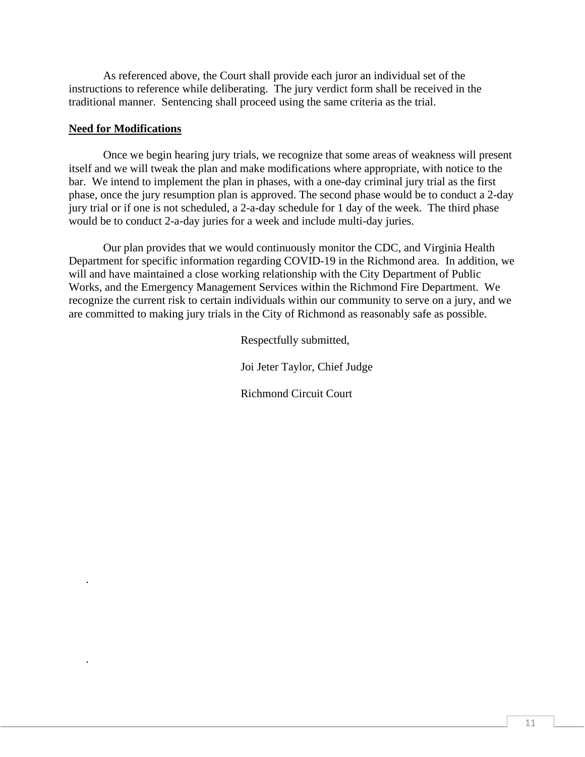As referenced above, the Court shall provide each juror an individual set of the instructions to reference while deliberating. The jury verdict form shall be received in the traditional manner. Sentencing shall proceed using the same criteria as the trial.

### **Need for Modifications**

.

.

Once we begin hearing jury trials, we recognize that some areas of weakness will present itself and we will tweak the plan and make modifications where appropriate, with notice to the bar. We intend to implement the plan in phases, with a one-day criminal jury trial as the first phase, once the jury resumption plan is approved. The second phase would be to conduct a 2-day jury trial or if one is not scheduled, a 2-a-day schedule for 1 day of the week. The third phase would be to conduct 2-a-day juries for a week and include multi-day juries.

Our plan provides that we would continuously monitor the CDC, and Virginia Health Department for specific information regarding COVID-19 in the Richmond area. In addition, we will and have maintained a close working relationship with the City Department of Public Works, and the Emergency Management Services within the Richmond Fire Department. We recognize the current risk to certain individuals within our community to serve on a jury, and we are committed to making jury trials in the City of Richmond as reasonably safe as possible.

Respectfully submitted,

Joi Jeter Taylor, Chief Judge

Richmond Circuit Court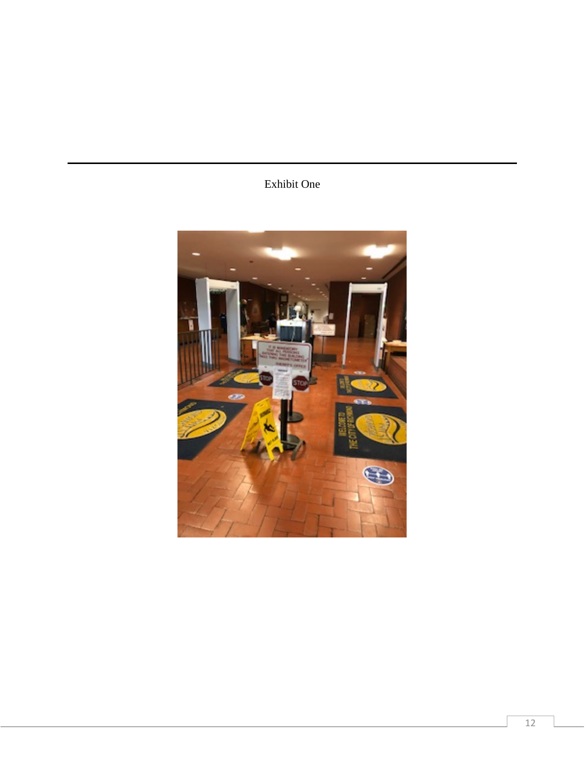# Exhibit One